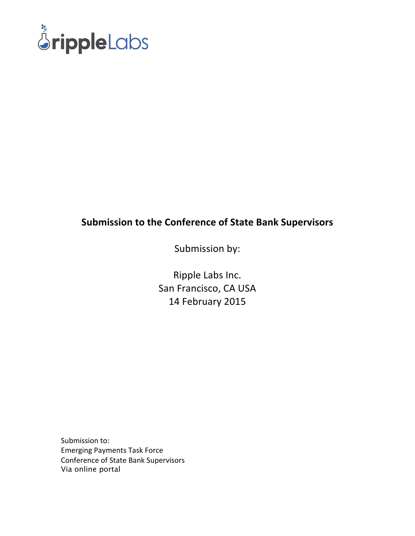

### **Submission to the Conference of State Bank Supervisors**

Submission by:

Ripple Labs Inc. San Francisco, CA USA 14 February 2015

Submission to: Emerging Payments Task Force Conference of State Bank Supervisors Via online portal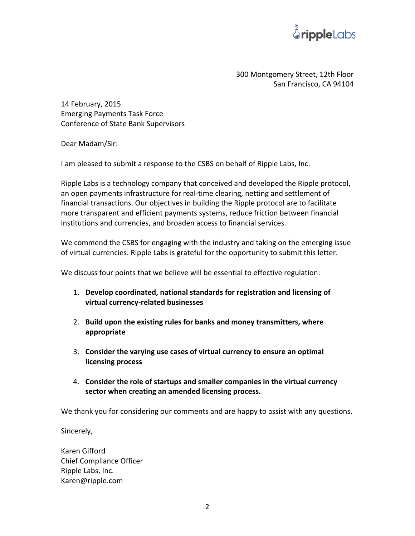

300 Montgomery Street, 12th Floor San Francisco, CA 94104

14 February, 2015 Emerging Payments Task Force Conference of State Bank Supervisors

Dear Madam/Sir:

I am pleased to submit a response to the CSBS on behalf of Ripple Labs, Inc.

Ripple Labs is a technology company that conceived and developed the Ripple protocol, an open payments infrastructure for real-time clearing, netting and settlement of financial transactions. Our objectives in building the Ripple protocol are to facilitate more transparent and efficient payments systems, reduce friction between financial institutions and currencies, and broaden access to financial services.

We commend the CSBS for engaging with the industry and taking on the emerging issue of virtual currencies. Ripple Labs is grateful for the opportunity to submit this letter.

We discuss four points that we believe will be essential to effective regulation:

- 1. Develop coordinated, national standards for registration and licensing of **virtual currency-related businesses**
- 2. Build upon the existing rules for banks and money transmitters, where **appropriate**
- 3. Consider the varying use cases of virtual currency to ensure an optimal **licensing process**
- 4. Consider the role of startups and smaller companies in the virtual currency sector when creating an amended licensing process.

We thank you for considering our comments and are happy to assist with any questions.

Sincerely,

Karen Gifford Chief Compliance Officer Ripple Labs, Inc. Karen@ripple.com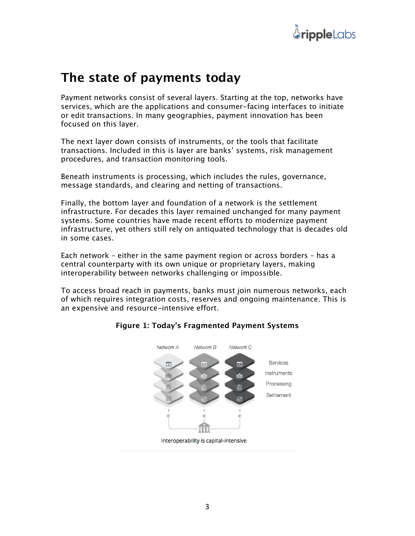

### **The state of payments today**

Payment networks consist of several layers. Starting at the top, networks have services, which are the applications and consumer-facing interfaces to initiate or edit transactions. In many geographies, payment innovation has been focused on this layer.

The next layer down consists of instruments, or the tools that facilitate transactions. Included in this is layer are banks' systems, risk management procedures, and transaction monitoring tools.

Beneath instruments is processing, which includes the rules, governance, message standards, and clearing and netting of transactions.

Finally, the bottom layer and foundation of a network is the settlement infrastructure. For decades this layer remained unchanged for many payment systems. Some countries have made recent efforts to modernize payment infrastructure, yet others still rely on antiquated technology that is decades old in some cases.

Each network – either in the same payment region or across borders – has a central counterparty with its own unique or proprietary layers, making interoperability between networks challenging or impossible.

To access broad reach in payments, banks must join numerous networks, each of which requires integration costs, reserves and ongoing maintenance. This is an expensive and resource-intensive effort.



#### **Figure 1: Today's Fragmented Payment Systems**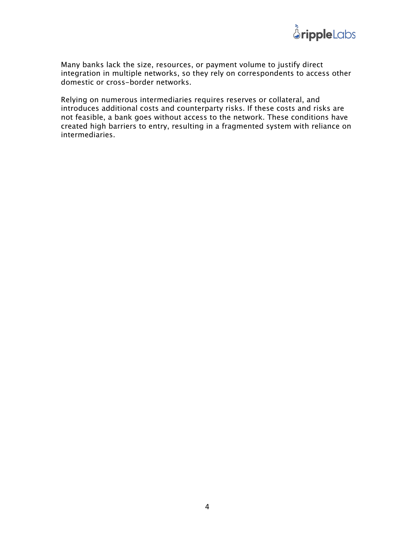

Many banks lack the size, resources, or payment volume to justify direct integration in multiple networks, so they rely on correspondents to access other domestic or cross-border networks.

Relying on numerous intermediaries requires reserves or collateral, and introduces additional costs and counterparty risks. If these costs and risks are not feasible, a bank goes without access to the network. These conditions have created high barriers to entry, resulting in a fragmented system with reliance on intermediaries.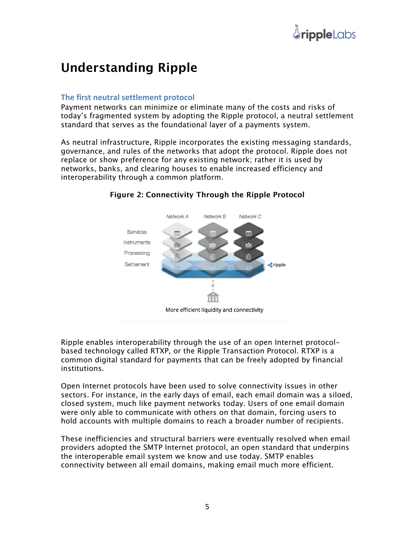## **Understanding Ripple**

#### **The first neutral settlement protocol**

Payment networks can minimize or eliminate many of the costs and risks of today's fragmented system by adopting the Ripple protocol, a neutral settlement standard that serves as the foundational layer of a payments system.

As neutral infrastructure, Ripple incorporates the existing messaging standards, governance, and rules of the networks that adopt the protocol. Ripple does not replace or show preference for any existing network; rather it is used by networks, banks, and clearing houses to enable increased efficiency and interoperability through a common platform.



#### **Figure 2: Connectivity Through the Ripple Protocol**

Ripple enables interoperability through the use of an open Internet protocolbased technology called RTXP, or the Ripple Transaction Protocol. RTXP is a common digital standard for payments that can be freely adopted by financial institutions.

Open Internet protocols have been used to solve connectivity issues in other sectors. For instance, in the early days of email, each email domain was a siloed, closed system, much like payment networks today. Users of one email domain were only able to communicate with others on that domain, forcing users to hold accounts with multiple domains to reach a broader number of recipients.

These inefficiencies and structural barriers were eventually resolved when email providers adopted the SMTP Internet protocol, an open standard that underpins the interoperable email system we know and use today. SMTP enables connectivity between all email domains, making email much more efficient.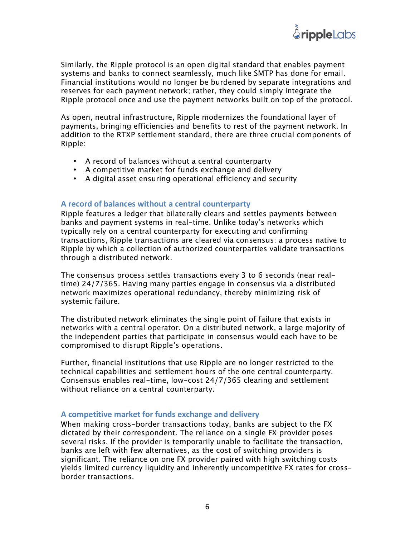Similarly, the Ripple protocol is an open digital standard that enables payment systems and banks to connect seamlessly, much like SMTP has done for email. Financial institutions would no longer be burdened by separate integrations and reserves for each payment network; rather, they could simply integrate the Ripple protocol once and use the payment networks built on top of the protocol.

As open, neutral infrastructure, Ripple modernizes the foundational layer of payments, bringing efficiencies and benefits to rest of the payment network. In addition to the RTXP settlement standard, there are three crucial components of Ripple:

- A record of balances without a central counterparty
- A competitive market for funds exchange and delivery
- A digital asset ensuring operational efficiency and security

#### A record of balances without a central counterparty

Ripple features a ledger that bilaterally clears and settles payments between banks and payment systems in real-time. Unlike today's networks which typically rely on a central counterparty for executing and confirming transactions, Ripple transactions are cleared via consensus: a process native to Ripple by which a collection of authorized counterparties validate transactions through a distributed network.

The consensus process settles transactions every 3 to 6 seconds (near realtime) 24/7/365. Having many parties engage in consensus via a distributed network maximizes operational redundancy, thereby minimizing risk of systemic failure.

The distributed network eliminates the single point of failure that exists in networks with a central operator. On a distributed network, a large majority of the independent parties that participate in consensus would each have to be compromised to disrupt Ripple's operations.

Further, financial institutions that use Ripple are no longer restricted to the technical capabilities and settlement hours of the one central counterparty. Consensus enables real-time, low-cost 24/7/365 clearing and settlement without reliance on a central counterparty.

#### A competitive market for funds exchange and delivery

When making cross-border transactions today, banks are subject to the FX dictated by their correspondent. The reliance on a single FX provider poses several risks. If the provider is temporarily unable to facilitate the transaction, banks are left with few alternatives, as the cost of switching providers is significant. The reliance on one FX provider paired with high switching costs yields limited currency liquidity and inherently uncompetitive FX rates for crossborder transactions.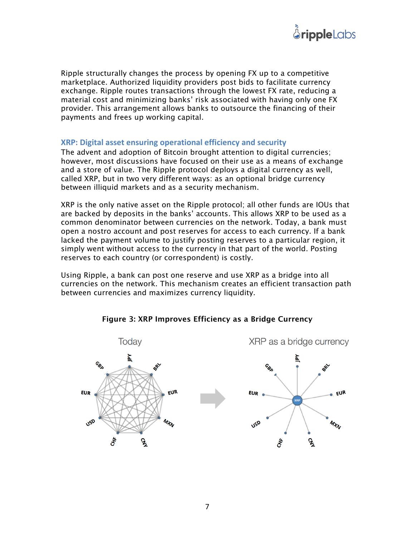

Ripple structurally changes the process by opening FX up to a competitive marketplace. Authorized liquidity providers post bids to facilitate currency exchange. Ripple routes transactions through the lowest FX rate, reducing a material cost and minimizing banks' risk associated with having only one FX provider. This arrangement allows banks to outsource the financing of their payments and frees up working capital.

#### **XRP: Digital asset ensuring operational efficiency and security**

The advent and adoption of Bitcoin brought attention to digital currencies; however, most discussions have focused on their use as a means of exchange and a store of value. The Ripple protocol deploys a digital currency as well, called XRP, but in two very different ways: as an optional bridge currency between illiquid markets and as a security mechanism.

XRP is the only native asset on the Ripple protocol; all other funds are IOUs that are backed by deposits in the banks' accounts. This allows XRP to be used as a common denominator between currencies on the network. Today, a bank must open a nostro account and post reserves for access to each currency. If a bank lacked the payment volume to justify posting reserves to a particular region, it simply went without access to the currency in that part of the world. Posting reserves to each country (or correspondent) is costly.

Using Ripple, a bank can post one reserve and use XRP as a bridge into all currencies on the network. This mechanism creates an efficient transaction path between currencies and maximizes currency liquidity.



**Figure 3: XRP Improves Efficiency as a Bridge Currency**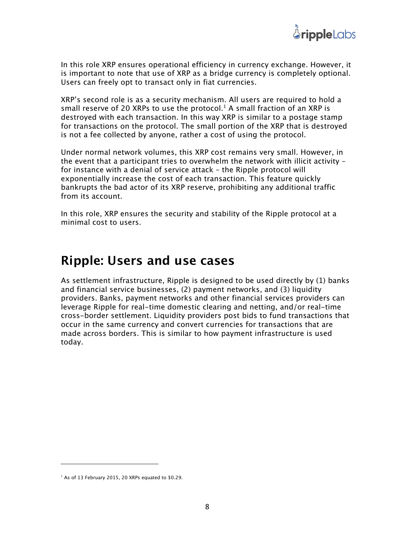

In this role XRP ensures operational efficiency in currency exchange. However, it is important to note that use of XRP as a bridge currency is completely optional. Users can freely opt to transact only in fiat currencies.

XRP's second role is as a security mechanism. All users are required to hold a small reserve of 20 XRPs to use the protocol.<sup>1</sup> A small fraction of an XRP is destroyed with each transaction. In this way XRP is similar to a postage stamp for transactions on the protocol. The small portion of the XRP that is destroyed is not a fee collected by anyone, rather a cost of using the protocol.

Under normal network volumes, this XRP cost remains very small. However, in the event that a participant tries to overwhelm the network with illicit activity – for instance with a denial of service attack – the Ripple protocol will exponentially increase the cost of each transaction. This feature quickly bankrupts the bad actor of its XRP reserve, prohibiting any additional traffic from its account.

In this role, XRP ensures the security and stability of the Ripple protocol at a minimal cost to users.

### **Ripple: Users and use cases**

As settlement infrastructure, Ripple is designed to be used directly by (1) banks and financial service businesses, (2) payment networks, and (3) liquidity providers. Banks, payment networks and other financial services providers can leverage Ripple for real-time domestic clearing and netting, and/or real-time cross-border settlement. Liquidity providers post bids to fund transactions that occur in the same currency and convert currencies for transactions that are made across borders. This is similar to how payment infrastructure is used today.

 

 $1$  As of 13 February 2015, 20 XRPs equated to \$0.29.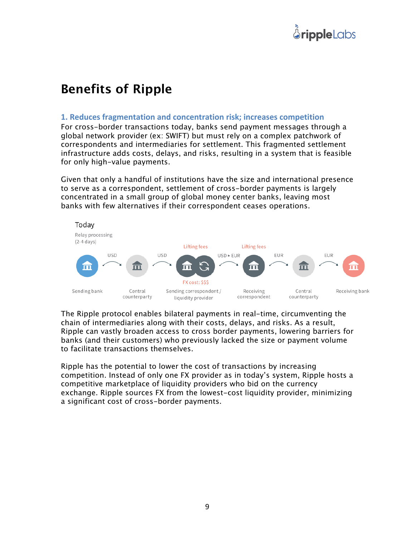## **Benefits of Ripple**

#### **1. Reduces fragmentation and concentration risk; increases competition**

For cross-border transactions today, banks send payment messages through a global network provider (ex: SWIFT) but must rely on a complex patchwork of correspondents and intermediaries for settlement. This fragmented settlement infrastructure adds costs, delays, and risks, resulting in a system that is feasible for only high-value payments.

Given that only a handful of institutions have the size and international presence to serve as a correspondent, settlement of cross-border payments is largely concentrated in a small group of global money center banks, leaving most banks with few alternatives if their correspondent ceases operations.



The Ripple protocol enables bilateral payments in real-time, circumventing the chain of intermediaries along with their costs, delays, and risks. As a result, Ripple can vastly broaden access to cross border payments, lowering barriers for banks (and their customers) who previously lacked the size or payment volume to facilitate transactions themselves.

Ripple has the potential to lower the cost of transactions by increasing competition. Instead of only one FX provider as in today's system, Ripple hosts a competitive marketplace of liquidity providers who bid on the currency exchange. Ripple sources FX from the lowest-cost liquidity provider, minimizing a significant cost of cross-border payments.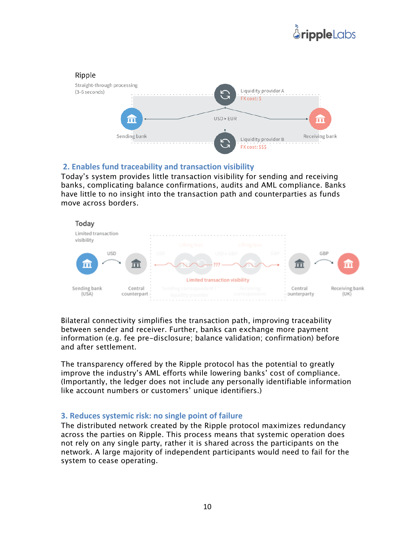# *<u>ÅrippleLabs</u>*



#### **2. Enables fund traceability and transaction visibility**

Today's system provides little transaction visibility for sending and receiving banks, complicating balance confirmations, audits and AML compliance. Banks have little to no insight into the transaction path and counterparties as funds move across borders.



Bilateral connectivity simplifies the transaction path, improving traceability between sender and receiver. Further, banks can exchange more payment information (e.g. fee pre-disclosure; balance validation; confirmation) before and after settlement.

The transparency offered by the Ripple protocol has the potential to greatly improve the industry's AML efforts while lowering banks' cost of compliance. (Importantly, the ledger does not include any personally identifiable information like account numbers or customers' unique identifiers.)

#### **3. Reduces systemic risk: no single point of failure**

The distributed network created by the Ripple protocol maximizes redundancy across the parties on Ripple. This process means that systemic operation does not rely on any single party, rather it is shared across the participants on the network. A large majority of independent participants would need to fail for the system to cease operating.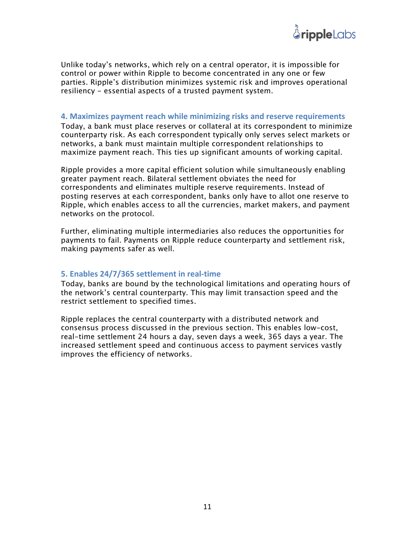

Unlike today's networks, which rely on a central operator, it is impossible for control or power within Ripple to become concentrated in any one or few parties. Ripple's distribution minimizes systemic risk and improves operational resiliency - essential aspects of a trusted payment system.

#### **4.** Maximizes payment reach while minimizing risks and reserve requirements

Today, a bank must place reserves or collateral at its correspondent to minimize counterparty risk. As each correspondent typically only serves select markets or networks, a bank must maintain multiple correspondent relationships to maximize payment reach. This ties up significant amounts of working capital.

Ripple provides a more capital efficient solution while simultaneously enabling greater payment reach. Bilateral settlement obviates the need for correspondents and eliminates multiple reserve requirements. Instead of posting reserves at each correspondent, banks only have to allot one reserve to Ripple, which enables access to all the currencies, market makers, and payment networks on the protocol.

Further, eliminating multiple intermediaries also reduces the opportunities for payments to fail. Payments on Ripple reduce counterparty and settlement risk, making payments safer as well.

#### **5. Enables 24/7/365 settlement in real-time**

Today, banks are bound by the technological limitations and operating hours of the network's central counterparty. This may limit transaction speed and the restrict settlement to specified times.

Ripple replaces the central counterparty with a distributed network and consensus process discussed in the previous section. This enables low-cost, real-time settlement 24 hours a day, seven days a week, 365 days a year. The increased settlement speed and continuous access to payment services vastly improves the efficiency of networks.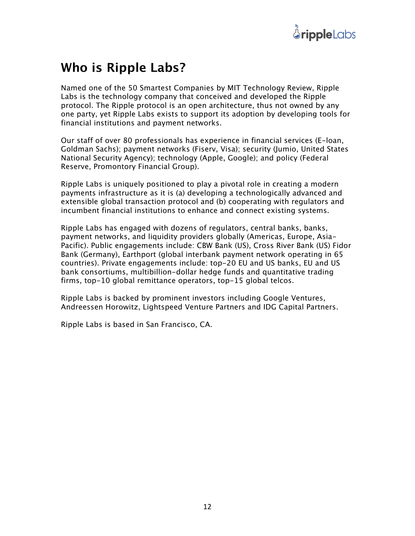

### **Who is Ripple Labs?**

Named one of the 50 Smartest Companies by MIT Technology Review, Ripple Labs is the technology company that conceived and developed the Ripple protocol. The Ripple protocol is an open architecture, thus not owned by any one party, yet Ripple Labs exists to support its adoption by developing tools for financial institutions and payment networks.

Our staff of over 80 professionals has experience in financial services (E-loan, Goldman Sachs); payment networks (Fiserv, Visa); security (Jumio, United States National Security Agency); technology (Apple, Google); and policy (Federal Reserve, Promontory Financial Group).

Ripple Labs is uniquely positioned to play a pivotal role in creating a modern payments infrastructure as it is (a) developing a technologically advanced and extensible global transaction protocol and (b) cooperating with regulators and incumbent financial institutions to enhance and connect existing systems.

Ripple Labs has engaged with dozens of regulators, central banks, banks, payment networks, and liquidity providers globally (Americas, Europe, Asia-Pacific). Public engagements include: CBW Bank (US), Cross River Bank (US) Fidor Bank (Germany), Earthport (global interbank payment network operating in 65 countries). Private engagements include: top-20 EU and US banks, EU and US bank consortiums, multibillion-dollar hedge funds and quantitative trading firms, top-10 global remittance operators, top-15 global telcos.

Ripple Labs is backed by prominent investors including Google Ventures, Andreessen Horowitz, Lightspeed Venture Partners and IDG Capital Partners.

Ripple Labs is based in San Francisco, CA.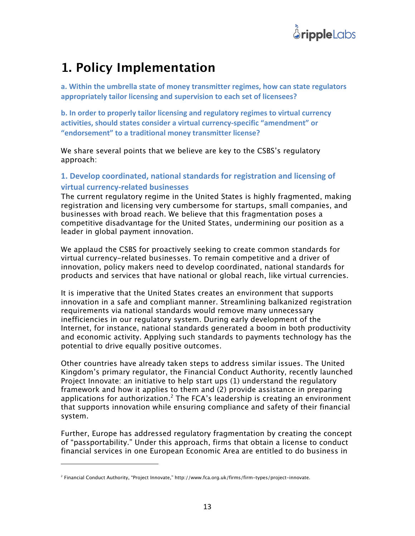

## **1. Policy Implementation**

a. Within the umbrella state of money transmitter regimes, how can state regulators appropriately tailor licensing and supervision to each set of licensees?

**b.** In order to properly tailor licensing and regulatory regimes to virtual currency activities, should states consider a virtual currency-specific "amendment" or "endorsement" to a traditional money transmitter license?

We share several points that we believe are key to the CSBS's regulatory approach:

#### 1. Develop coordinated, national standards for registration and licensing of **virtual currency-related businesses**

The current regulatory regime in the United States is highly fragmented, making registration and licensing very cumbersome for startups, small companies, and businesses with broad reach. We believe that this fragmentation poses a competitive disadvantage for the United States, undermining our position as a leader in global payment innovation.

We applaud the CSBS for proactively seeking to create common standards for virtual currency-related businesses. To remain competitive and a driver of innovation, policy makers need to develop coordinated, national standards for products and services that have national or global reach, like virtual currencies.

It is imperative that the United States creates an environment that supports innovation in a safe and compliant manner. Streamlining balkanized registration requirements via national standards would remove many unnecessary inefficiencies in our regulatory system. During early development of the Internet, for instance, national standards generated a boom in both productivity and economic activity. Applying such standards to payments technology has the potential to drive equally positive outcomes.

Other countries have already taken steps to address similar issues. The United Kingdom's primary regulator, the Financial Conduct Authority, recently launched Project Innovate: an initiative to help start ups (1) understand the regulatory framework and how it applies to them and (2) provide assistance in preparing applications for authorization.<sup>2</sup> The FCA's leadership is creating an environment that supports innovation while ensuring compliance and safety of their financial system.

Further, Europe has addressed regulatory fragmentation by creating the concept of "passportability." Under this approach, firms that obtain a license to conduct financial services in one European Economic Area are entitled to do business in

 

<sup>2</sup> Financial Conduct Authority, "Project Innovate," http://www.fca.org.uk/firms/firm-types/project-innovate.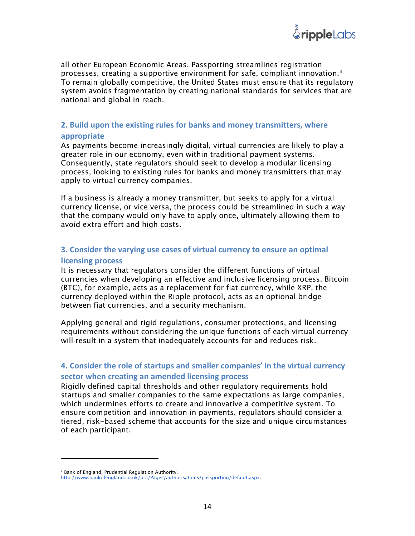all other European Economic Areas. Passporting streamlines registration processes, creating a supportive environment for safe, compliant innovation.<sup>3</sup> To remain globally competitive, the United States must ensure that its regulatory system avoids fragmentation by creating national standards for services that are national and global in reach.

#### **2. Build upon the existing rules for banks and money transmitters, where appropriate**

As payments become increasingly digital, virtual currencies are likely to play a greater role in our economy, even within traditional payment systems. Consequently, state regulators should seek to develop a modular licensing process, looking to existing rules for banks and money transmitters that may apply to virtual currency companies.

If a business is already a money transmitter, but seeks to apply for a virtual currency license, or vice versa, the process could be streamlined in such a way that the company would only have to apply once, ultimately allowing them to avoid extra effort and high costs.

#### **3. Consider the varying use cases of virtual currency to ensure an optimal licensing process**

It is necessary that regulators consider the different functions of virtual currencies when developing an effective and inclusive licensing process. Bitcoin (BTC), for example, acts as a replacement for fiat currency, while XRP, the currency deployed within the Ripple protocol, acts as an optional bridge between fiat currencies, and a security mechanism.

Applying general and rigid regulations, consumer protections, and licensing requirements without considering the unique functions of each virtual currency will result in a system that inadequately accounts for and reduces risk.

#### **4. Consider the role of startups and smaller companies' in the virtual currency sector when creating an amended licensing process**

Rigidly defined capital thresholds and other regulatory requirements hold startups and smaller companies to the same expectations as large companies, which undermines efforts to create and innovative a competitive system. To ensure competition and innovation in payments, regulators should consider a tiered, risk-based scheme that accounts for the size and unique circumstances of each participant.

 

<sup>&</sup>lt;sup>3</sup> Bank of England, Prudential Regulation Authority,

http://www.bankofengland.co.uk/pra/Pages/authorisations/passporting/default.aspx.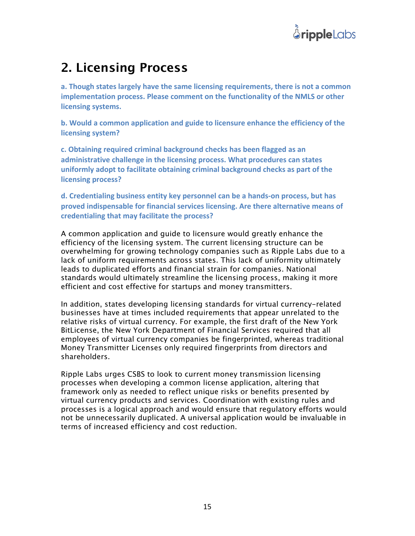

### **2. Licensing Process**

a. Though states largely have the same licensing requirements, there is not a common **implementation process. Please comment on the functionality of the NMLS or other licensing systems.**

**b.** Would a common application and guide to licensure enhance the efficiency of the **licensing system?** 

c. Obtaining required criminal background checks has been flagged as an administrative challenge in the licensing process. What procedures can states uniformly adopt to facilitate obtaining criminal background checks as part of the **licensing process?** 

**d.** Credentialing business entity key personnel can be a hands-on process, but has proved indispensable for financial services licensing. Are there alternative means of credentialing that may facilitate the process?

A common application and guide to licensure would greatly enhance the efficiency of the licensing system. The current licensing structure can be overwhelming for growing technology companies such as Ripple Labs due to a lack of uniform requirements across states. This lack of uniformity ultimately leads to duplicated efforts and financial strain for companies. National standards would ultimately streamline the licensing process, making it more efficient and cost effective for startups and money transmitters.

In addition, states developing licensing standards for virtual currency-related businesses have at times included requirements that appear unrelated to the relative risks of virtual currency. For example, the first draft of the New York BitLicense, the New York Department of Financial Services required that all employees of virtual currency companies be fingerprinted, whereas traditional Money Transmitter Licenses only required fingerprints from directors and shareholders.

Ripple Labs urges CSBS to look to current money transmission licensing processes when developing a common license application, altering that framework only as needed to reflect unique risks or benefits presented by virtual currency products and services. Coordination with existing rules and processes is a logical approach and would ensure that regulatory efforts would not be unnecessarily duplicated. A universal application would be invaluable in terms of increased efficiency and cost reduction.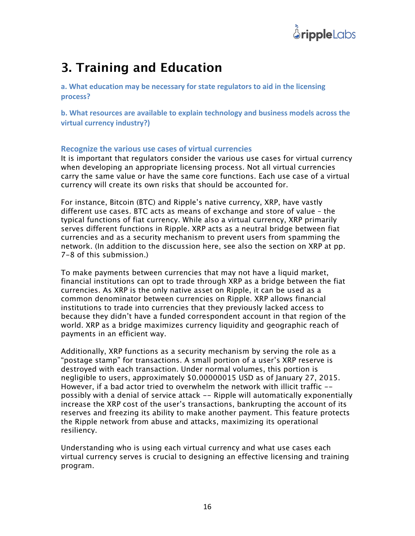

## **3. Training and Education**

**a.** What education may be necessary for state regulators to aid in the licensing **process?**

**b.** What resources are available to explain technology and business models across the **virtual currency industry?)** 

#### **Recognize the various use cases of virtual currencies**

It is important that regulators consider the various use cases for virtual currency when developing an appropriate licensing process. Not all virtual currencies carry the same value or have the same core functions. Each use case of a virtual currency will create its own risks that should be accounted for.

For instance, Bitcoin (BTC) and Ripple's native currency, XRP, have vastly different use cases. BTC acts as means of exchange and store of value – the typical functions of fiat currency. While also a virtual currency, XRP primarily serves different functions in Ripple. XRP acts as a neutral bridge between fiat currencies and as a security mechanism to prevent users from spamming the network. (In addition to the discussion here, see also the section on XRP at pp. 7-8 of this submission.)

To make payments between currencies that may not have a liquid market, financial institutions can opt to trade through XRP as a bridge between the fiat currencies. As XRP is the only native asset on Ripple, it can be used as a common denominator between currencies on Ripple. XRP allows financial institutions to trade into currencies that they previously lacked access to because they didn't have a funded correspondent account in that region of the world. XRP as a bridge maximizes currency liquidity and geographic reach of payments in an efficient way.

Additionally, XRP functions as a security mechanism by serving the role as a "postage stamp" for transactions. A small portion of a user's XRP reserve is destroyed with each transaction. Under normal volumes, this portion is negligible to users, approximately \$0.00000015 USD as of January 27, 2015. However, if a bad actor tried to overwhelm the network with illicit traffic - possibly with a denial of service attack -- Ripple will automatically exponentially increase the XRP cost of the user's transactions, bankrupting the account of its reserves and freezing its ability to make another payment. This feature protects the Ripple network from abuse and attacks, maximizing its operational resiliency.

Understanding who is using each virtual currency and what use cases each virtual currency serves is crucial to designing an effective licensing and training program.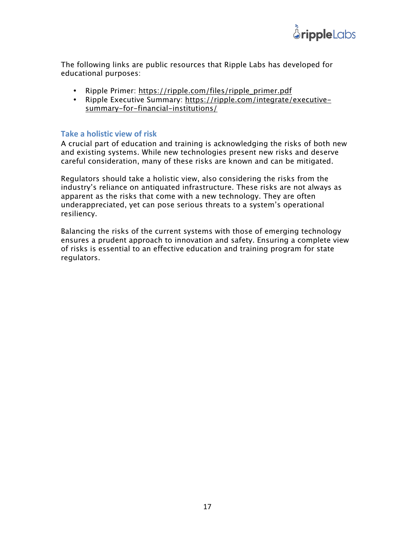

The following links are public resources that Ripple Labs has developed for educational purposes:

- Ripple Primer: https://ripple.com/files/ripple\_primer.pdf
- Ripple Executive Summary: https://ripple.com/integrate/executivesummary-for-financial-institutions/

#### **Take a holistic view of risk**

A crucial part of education and training is acknowledging the risks of both new and existing systems. While new technologies present new risks and deserve careful consideration, many of these risks are known and can be mitigated.

Regulators should take a holistic view, also considering the risks from the industry's reliance on antiquated infrastructure. These risks are not always as apparent as the risks that come with a new technology. They are often underappreciated, yet can pose serious threats to a system's operational resiliency.

Balancing the risks of the current systems with those of emerging technology ensures a prudent approach to innovation and safety. Ensuring a complete view of risks is essential to an effective education and training program for state regulators.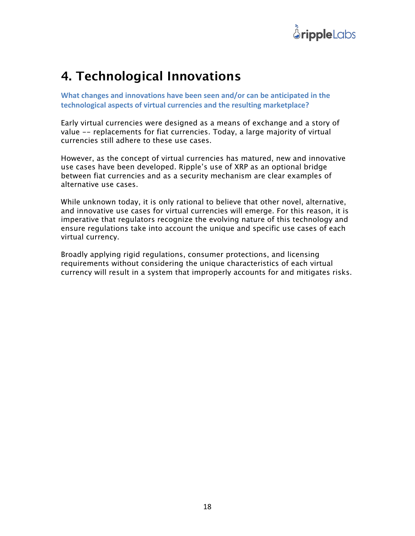

## **4. Technological Innovations**

**What changes and innovations have been seen and/or can be anticipated in the** technological aspects of virtual currencies and the resulting marketplace?

Early virtual currencies were designed as a means of exchange and a story of value -- replacements for fiat currencies. Today, a large majority of virtual currencies still adhere to these use cases.

However, as the concept of virtual currencies has matured, new and innovative use cases have been developed. Ripple's use of XRP as an optional bridge between fiat currencies and as a security mechanism are clear examples of alternative use cases.

While unknown today, it is only rational to believe that other novel, alternative, and innovative use cases for virtual currencies will emerge. For this reason, it is imperative that regulators recognize the evolving nature of this technology and ensure regulations take into account the unique and specific use cases of each virtual currency.

Broadly applying rigid regulations, consumer protections, and licensing requirements without considering the unique characteristics of each virtual currency will result in a system that improperly accounts for and mitigates risks.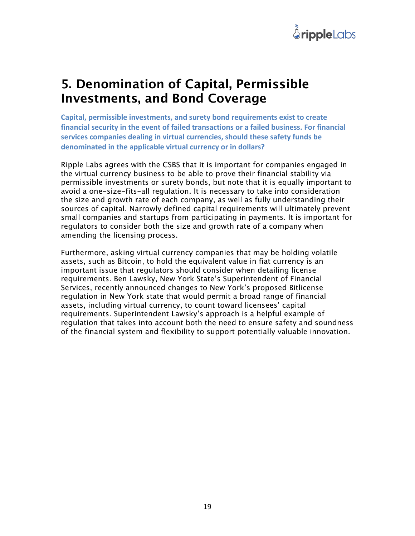

### **5. Denomination of Capital, Permissible Investments, and Bond Coverage**

Capital, permissible investments, and surety bond requirements exist to create financial security in the event of failed transactions or a failed business. For financial services companies dealing in virtual currencies, should these safety funds be denominated in the applicable virtual currency or in dollars?

Ripple Labs agrees with the CSBS that it is important for companies engaged in the virtual currency business to be able to prove their financial stability via permissible investments or surety bonds, but note that it is equally important to avoid a one-size-fits-all regulation. It is necessary to take into consideration the size and growth rate of each company, as well as fully understanding their sources of capital. Narrowly defined capital requirements will ultimately prevent small companies and startups from participating in payments. It is important for regulators to consider both the size and growth rate of a company when amending the licensing process.

Furthermore, asking virtual currency companies that may be holding volatile assets, such as Bitcoin, to hold the equivalent value in fiat currency is an important issue that regulators should consider when detailing license requirements. Ben Lawsky, New York State's Superintendent of Financial Services, recently announced changes to New York's proposed Bitlicense regulation in New York state that would permit a broad range of financial assets, including virtual currency, to count toward licensees' capital requirements. Superintendent Lawsky's approach is a helpful example of regulation that takes into account both the need to ensure safety and soundness of the financial system and flexibility to support potentially valuable innovation.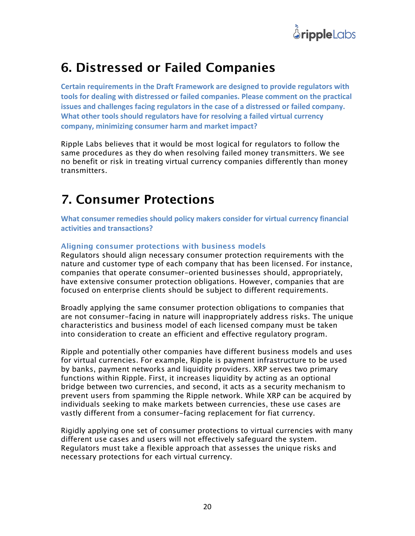

### **6. Distressed or Failed Companies**

Certain requirements in the Draft Framework are designed to provide regulators with tools for dealing with distressed or failed companies. Please comment on the practical **issues and challenges facing regulators in the case of a distressed or failed company. What other tools should regulators have for resolving a failed virtual currency** company, minimizing consumer harm and market impact?

Ripple Labs believes that it would be most logical for regulators to follow the same procedures as they do when resolving failed money transmitters. We see no benefit or risk in treating virtual currency companies differently than money transmitters.

## **7. Consumer Protections**

What consumer remedies should policy makers consider for virtual currency financial **activities and transactions?** 

#### **Aligning consumer protections with business models**

Regulators should align necessary consumer protection requirements with the nature and customer type of each company that has been licensed. For instance, companies that operate consumer-oriented businesses should, appropriately, have extensive consumer protection obligations. However, companies that are focused on enterprise clients should be subject to different requirements.

Broadly applying the same consumer protection obligations to companies that are not consumer-facing in nature will inappropriately address risks. The unique characteristics and business model of each licensed company must be taken into consideration to create an efficient and effective regulatory program.

Ripple and potentially other companies have different business models and uses for virtual currencies. For example, Ripple is payment infrastructure to be used by banks, payment networks and liquidity providers. XRP serves two primary functions within Ripple. First, it increases liquidity by acting as an optional bridge between two currencies, and second, it acts as a security mechanism to prevent users from spamming the Ripple network. While XRP can be acquired by individuals seeking to make markets between currencies, these use cases are vastly different from a consumer-facing replacement for fiat currency.

Rigidly applying one set of consumer protections to virtual currencies with many different use cases and users will not effectively safeguard the system. Regulators must take a flexible approach that assesses the unique risks and necessary protections for each virtual currency.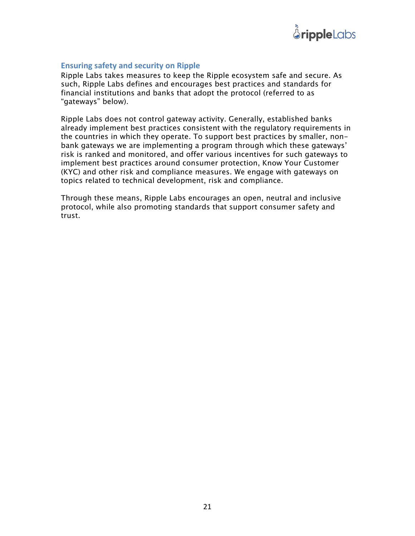

#### **Ensuring safety and security on Ripple**

Ripple Labs takes measures to keep the Ripple ecosystem safe and secure. As such, Ripple Labs defines and encourages best practices and standards for financial institutions and banks that adopt the protocol (referred to as "gateways" below).

Ripple Labs does not control gateway activity. Generally, established banks already implement best practices consistent with the regulatory requirements in the countries in which they operate. To support best practices by smaller, nonbank gateways we are implementing a program through which these gateways' risk is ranked and monitored, and offer various incentives for such gateways to implement best practices around consumer protection, Know Your Customer (KYC) and other risk and compliance measures. We engage with gateways on topics related to technical development, risk and compliance.

Through these means, Ripple Labs encourages an open, neutral and inclusive protocol, while also promoting standards that support consumer safety and trust.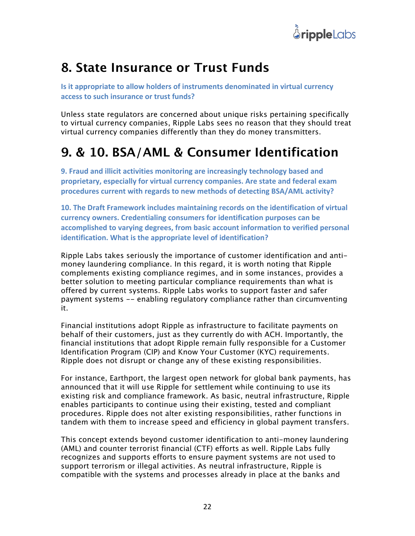

### **8. State Insurance or Trust Funds**

**Is it appropriate to allow holders of instruments denominated in virtual currency access to such insurance or trust funds?**

Unless state regulators are concerned about unique risks pertaining specifically to virtual currency companies, Ripple Labs sees no reason that they should treat virtual currency companies differently than they do money transmitters.

## **9. & 10. BSA/AML & Consumer Identification**

**9. Fraud and illicit activities monitoring are increasingly technology based and** proprietary, especially for virtual currency companies. Are state and federal exam **procedures current with regards to new methods of detecting BSA/AML activity?** 

**10. The Draft Framework includes maintaining records on the identification of virtual** currency owners. Credentialing consumers for identification purposes can be accomplished to varying degrees, from basic account information to verified personal **identification. What is the appropriate level of identification?** 

Ripple Labs takes seriously the importance of customer identification and antimoney laundering compliance. In this regard, it is worth noting that Ripple complements existing compliance regimes, and in some instances, provides a better solution to meeting particular compliance requirements than what is offered by current systems. Ripple Labs works to support faster and safer payment systems -- enabling regulatory compliance rather than circumventing it.

Financial institutions adopt Ripple as infrastructure to facilitate payments on behalf of their customers, just as they currently do with ACH. Importantly, the financial institutions that adopt Ripple remain fully responsible for a Customer Identification Program (CIP) and Know Your Customer (KYC) requirements. Ripple does not disrupt or change any of these existing responsibilities.

For instance, Earthport, the largest open network for global bank payments, has announced that it will use Ripple for settlement while continuing to use its existing risk and compliance framework. As basic, neutral infrastructure, Ripple enables participants to continue using their existing, tested and compliant procedures. Ripple does not alter existing responsibilities, rather functions in tandem with them to increase speed and efficiency in global payment transfers.

This concept extends beyond customer identification to anti-money laundering (AML) and counter terrorist financial (CTF) efforts as well. Ripple Labs fully recognizes and supports efforts to ensure payment systems are not used to support terrorism or illegal activities. As neutral infrastructure, Ripple is compatible with the systems and processes already in place at the banks and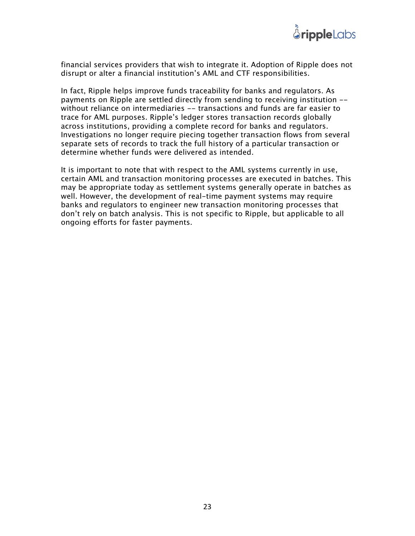

financial services providers that wish to integrate it. Adoption of Ripple does not disrupt or alter a financial institution's AML and CTF responsibilities.

In fact, Ripple helps improve funds traceability for banks and regulators. As payments on Ripple are settled directly from sending to receiving institution - without reliance on intermediaries -- transactions and funds are far easier to trace for AML purposes. Ripple's ledger stores transaction records globally across institutions, providing a complete record for banks and regulators. Investigations no longer require piecing together transaction flows from several separate sets of records to track the full history of a particular transaction or determine whether funds were delivered as intended.

It is important to note that with respect to the AML systems currently in use, certain AML and transaction monitoring processes are executed in batches. This may be appropriate today as settlement systems generally operate in batches as well. However, the development of real-time payment systems may require banks and regulators to engineer new transaction monitoring processes that don't rely on batch analysis. This is not specific to Ripple, but applicable to all ongoing efforts for faster payments.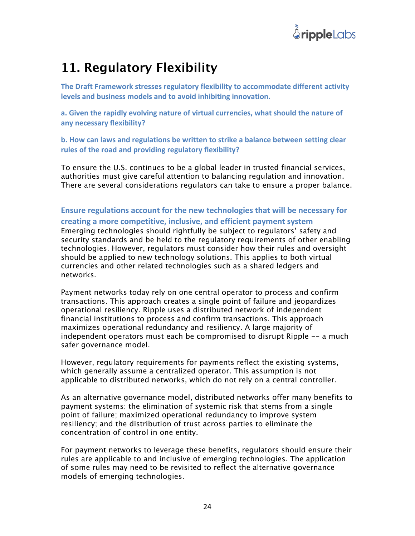

### **11. Regulatory Flexibility**

The Draft Framework stresses regulatory flexibility to accommodate different activity levels and business models and to avoid inhibiting innovation.

a. Given the rapidly evolving nature of virtual currencies, what should the nature of **any necessary flexibility?**

**b.** How can laws and regulations be written to strike a balance between setting clear rules of the road and providing regulatory flexibility?

To ensure the U.S. continues to be a global leader in trusted financial services, authorities must give careful attention to balancing regulation and innovation. There are several considerations regulators can take to ensure a proper balance.

**Ensure regulations account for the new technologies that will be necessary for** creating a more competitive, inclusive, and efficient payment system Emerging technologies should rightfully be subject to regulators' safety and security standards and be held to the regulatory requirements of other enabling technologies. However, regulators must consider how their rules and oversight should be applied to new technology solutions. This applies to both virtual currencies and other related technologies such as a shared ledgers and networks.

Payment networks today rely on one central operator to process and confirm transactions. This approach creates a single point of failure and jeopardizes operational resiliency. Ripple uses a distributed network of independent financial institutions to process and confirm transactions. This approach maximizes operational redundancy and resiliency. A large majority of independent operators must each be compromised to disrupt Ripple -- a much safer governance model.

However, regulatory requirements for payments reflect the existing systems, which generally assume a centralized operator. This assumption is not applicable to distributed networks, which do not rely on a central controller.

As an alternative governance model, distributed networks offer many benefits to payment systems: the elimination of systemic risk that stems from a single point of failure; maximized operational redundancy to improve system resiliency; and the distribution of trust across parties to eliminate the concentration of control in one entity.

For payment networks to leverage these benefits, regulators should ensure their rules are applicable to and inclusive of emerging technologies. The application of some rules may need to be revisited to reflect the alternative governance models of emerging technologies.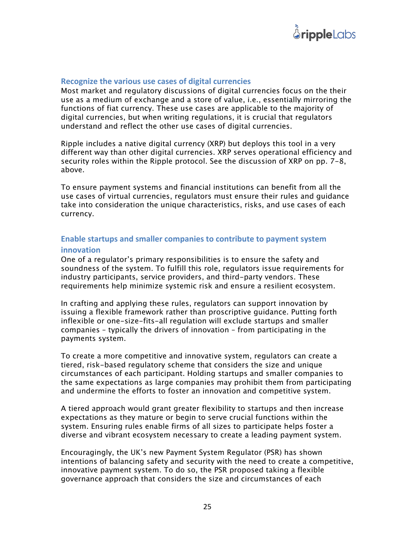

#### **Recognize the various use cases of digital currencies**

Most market and regulatory discussions of digital currencies focus on the their use as a medium of exchange and a store of value, i.e., essentially mirroring the functions of fiat currency. These use cases are applicable to the majority of digital currencies, but when writing regulations, it is crucial that regulators understand and reflect the other use cases of digital currencies.

Ripple includes a native digital currency (XRP) but deploys this tool in a very different way than other digital currencies. XRP serves operational efficiency and security roles within the Ripple protocol. See the discussion of XRP on pp. 7-8, above.

To ensure payment systems and financial institutions can benefit from all the use cases of virtual currencies, regulators must ensure their rules and guidance take into consideration the unique characteristics, risks, and use cases of each currency.

#### **Enable startups and smaller companies to contribute to payment system**

#### **innovation**

One of a regulator's primary responsibilities is to ensure the safety and soundness of the system. To fulfill this role, regulators issue requirements for industry participants, service providers, and third-party vendors. These requirements help minimize systemic risk and ensure a resilient ecosystem.

In crafting and applying these rules, regulators can support innovation by issuing a flexible framework rather than proscriptive guidance. Putting forth inflexible or one-size-fits-all regulation will exclude startups and smaller companies – typically the drivers of innovation – from participating in the payments system.

To create a more competitive and innovative system, regulators can create a tiered, risk-based regulatory scheme that considers the size and unique circumstances of each participant. Holding startups and smaller companies to the same expectations as large companies may prohibit them from participating and undermine the efforts to foster an innovation and competitive system.

A tiered approach would grant greater flexibility to startups and then increase expectations as they mature or begin to serve crucial functions within the system. Ensuring rules enable firms of all sizes to participate helps foster a diverse and vibrant ecosystem necessary to create a leading payment system.

Encouragingly, the UK's new Payment System Regulator (PSR) has shown intentions of balancing safety and security with the need to create a competitive, innovative payment system. To do so, the PSR proposed taking a flexible governance approach that considers the size and circumstances of each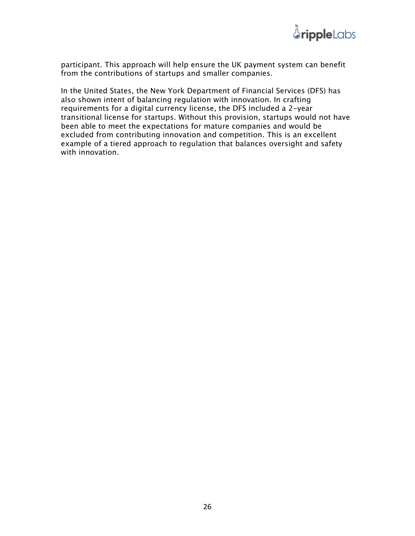

participant. This approach will help ensure the UK payment system can benefit from the contributions of startups and smaller companies.

In the United States, the New York Department of Financial Services (DFS) has also shown intent of balancing regulation with innovation. In crafting requirements for a digital currency license, the DFS included a 2-year transitional license for startups. Without this provision, startups would not have been able to meet the expectations for mature companies and would be excluded from contributing innovation and competition. This is an excellent example of a tiered approach to regulation that balances oversight and safety with innovation.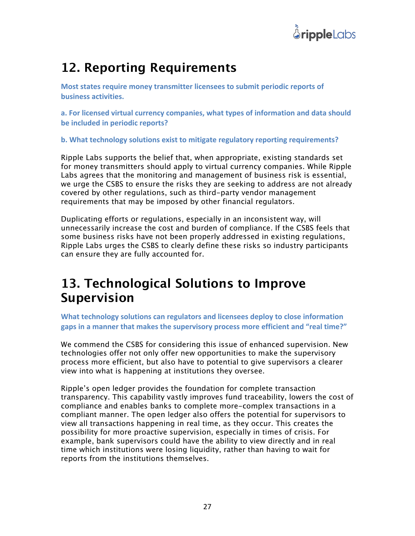

## **12. Reporting Requirements**

**Most states require money transmitter licensees to submit periodic reports of business activities.**

a. For licensed virtual currency companies, what types of information and data should **be included in periodic reports?** 

**b.** What technology solutions exist to mitigate regulatory reporting requirements?

Ripple Labs supports the belief that, when appropriate, existing standards set for money transmitters should apply to virtual currency companies. While Ripple Labs agrees that the monitoring and management of business risk is essential, we urge the CSBS to ensure the risks they are seeking to address are not already covered by other regulations, such as third-party vendor management requirements that may be imposed by other financial regulators.

Duplicating efforts or regulations, especially in an inconsistent way, will unnecessarily increase the cost and burden of compliance. If the CSBS feels that some business risks have not been properly addressed in existing regulations, Ripple Labs urges the CSBS to clearly define these risks so industry participants can ensure they are fully accounted for.

### **13. Technological Solutions to Improve Supervision**

What technology solutions can regulators and licensees deploy to close information gaps in a manner that makes the supervisory process more efficient and "real time?"

We commend the CSBS for considering this issue of enhanced supervision. New technologies offer not only offer new opportunities to make the supervisory process more efficient, but also have to potential to give supervisors a clearer view into what is happening at institutions they oversee.

Ripple's open ledger provides the foundation for complete transaction transparency. This capability vastly improves fund traceability, lowers the cost of compliance and enables banks to complete more-complex transactions in a compliant manner. The open ledger also offers the potential for supervisors to view all transactions happening in real time, as they occur. This creates the possibility for more proactive supervision, especially in times of crisis. For example, bank supervisors could have the ability to view directly and in real time which institutions were losing liquidity, rather than having to wait for reports from the institutions themselves.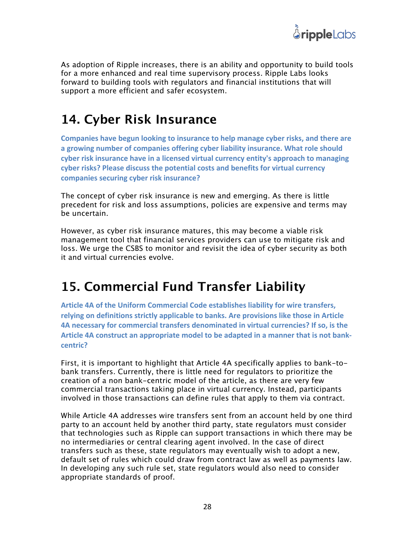

As adoption of Ripple increases, there is an ability and opportunity to build tools for a more enhanced and real time supervisory process. Ripple Labs looks forward to building tools with regulators and financial institutions that will support a more efficient and safer ecosystem.

## **14. Cyber Risk Insurance**

**Companies have begun looking to insurance to help manage cyber risks, and there are** a growing number of companies offering cyber liability insurance. What role should cyber risk insurance have in a licensed virtual currency entity's approach to managing cyber risks? Please discuss the potential costs and benefits for virtual currency **companies securing cyber risk insurance?**

The concept of cyber risk insurance is new and emerging. As there is little precedent for risk and loss assumptions, policies are expensive and terms may be uncertain.

However, as cyber risk insurance matures, this may become a viable risk management tool that financial services providers can use to mitigate risk and loss. We urge the CSBS to monitor and revisit the idea of cyber security as both it and virtual currencies evolve.

## **15. Commercial Fund Transfer Liability**

Article 4A of the Uniform Commercial Code establishes liability for wire transfers, relying on definitions strictly applicable to banks. Are provisions like those in Article **4A necessary for commercial transfers denominated in virtual currencies? If so, is the** Article 4A construct an appropriate model to be adapted in a manner that is not bank**centric?**

First, it is important to highlight that Article 4A specifically applies to bank-tobank transfers. Currently, there is little need for regulators to prioritize the creation of a non bank-centric model of the article, as there are very few commercial transactions taking place in virtual currency. Instead, participants involved in those transactions can define rules that apply to them via contract.

While Article 4A addresses wire transfers sent from an account held by one third party to an account held by another third party, state regulators must consider that technologies such as Ripple can support transactions in which there may be no intermediaries or central clearing agent involved. In the case of direct transfers such as these, state regulators may eventually wish to adopt a new, default set of rules which could draw from contract law as well as payments law. In developing any such rule set, state regulators would also need to consider appropriate standards of proof.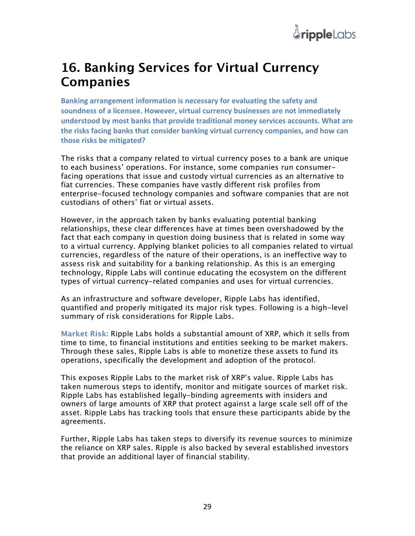

### **16. Banking Services for Virtual Currency Companies**

**Banking arrangement information is necessary for evaluating the safety and** soundness of a licensee. However, virtual currency businesses are not immediately understood by most banks that provide traditional money services accounts. What are the risks facing banks that consider banking virtual currency companies, and how can **those risks be mitigated?**

The risks that a company related to virtual currency poses to a bank are unique to each business' operations. For instance, some companies run consumerfacing operations that issue and custody virtual currencies as an alternative to fiat currencies. These companies have vastly different risk profiles from enterprise-focused technology companies and software companies that are not custodians of others' fiat or virtual assets.

However, in the approach taken by banks evaluating potential banking relationships, these clear differences have at times been overshadowed by the fact that each company in question doing business that is related in some way to a virtual currency. Applying blanket policies to all companies related to virtual currencies, regardless of the nature of their operations, is an ineffective way to assess risk and suitability for a banking relationship. As this is an emerging technology, Ripple Labs will continue educating the ecosystem on the different types of virtual currency-related companies and uses for virtual currencies.

As an infrastructure and software developer, Ripple Labs has identified, quantified and properly mitigated its major risk types. Following is a high-level summary of risk considerations for Ripple Labs.

**Market Risk:** Ripple Labs holds a substantial amount of XRP, which it sells from time to time, to financial institutions and entities seeking to be market makers. Through these sales, Ripple Labs is able to monetize these assets to fund its operations, specifically the development and adoption of the protocol.

This exposes Ripple Labs to the market risk of XRP's value. Ripple Labs has taken numerous steps to identify, monitor and mitigate sources of market risk. Ripple Labs has established legally-binding agreements with insiders and owners of large amounts of XRP that protect against a large scale sell off of the asset. Ripple Labs has tracking tools that ensure these participants abide by the agreements.

Further, Ripple Labs has taken steps to diversify its revenue sources to minimize the reliance on XRP sales. Ripple is also backed by several established investors that provide an additional layer of financial stability.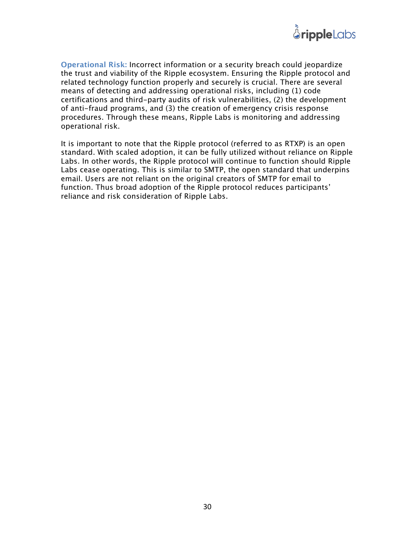

**Operational Risk:** Incorrect information or a security breach could jeopardize the trust and viability of the Ripple ecosystem. Ensuring the Ripple protocol and related technology function properly and securely is crucial. There are several means of detecting and addressing operational risks, including (1) code certifications and third-party audits of risk vulnerabilities, (2) the development of anti-fraud programs, and (3) the creation of emergency crisis response procedures. Through these means, Ripple Labs is monitoring and addressing operational risk.

It is important to note that the Ripple protocol (referred to as RTXP) is an open standard. With scaled adoption, it can be fully utilized without reliance on Ripple Labs. In other words, the Ripple protocol will continue to function should Ripple Labs cease operating. This is similar to SMTP, the open standard that underpins email. Users are not reliant on the original creators of SMTP for email to function. Thus broad adoption of the Ripple protocol reduces participants' reliance and risk consideration of Ripple Labs.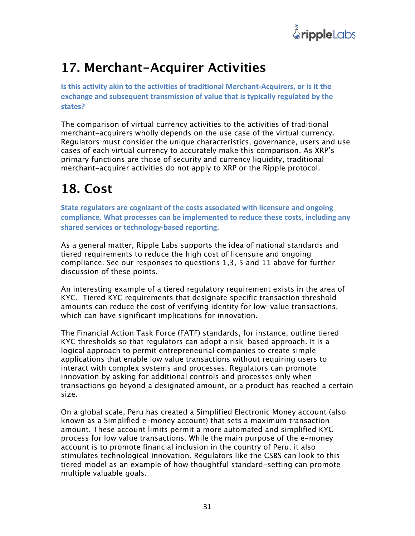

## **17. Merchant-Acquirer Activities**

**Is this activity akin to the activities of traditional Merchant-Acquirers, or is it the** exchange and subsequent transmission of value that is typically regulated by the **states?**

The comparison of virtual currency activities to the activities of traditional merchant-acquirers wholly depends on the use case of the virtual currency. Regulators must consider the unique characteristics, governance, users and use cases of each virtual currency to accurately make this comparison. As XRP's primary functions are those of security and currency liquidity, traditional merchant-acquirer activities do not apply to XRP or the Ripple protocol.

## **18. Cost**

**State regulators are cognizant of the costs associated with licensure and ongoing compliance.** What processes can be implemented to reduce these costs, including any shared services or technology-based reporting.

As a general matter, Ripple Labs supports the idea of national standards and tiered requirements to reduce the high cost of licensure and ongoing compliance. See our responses to questions 1,3, 5 and 11 above for further discussion of these points.

An interesting example of a tiered regulatory requirement exists in the area of KYC. Tiered KYC requirements that designate specific transaction threshold amounts can reduce the cost of verifying identity for low-value transactions, which can have significant implications for innovation.

The Financial Action Task Force (FATF) standards, for instance, outline tiered KYC thresholds so that regulators can adopt a risk-based approach. It is a logical approach to permit entrepreneurial companies to create simple applications that enable low value transactions without requiring users to interact with complex systems and processes. Regulators can promote innovation by asking for additional controls and processes only when transactions go beyond a designated amount, or a product has reached a certain size.

On a global scale, Peru has created a Simplified Electronic Money account (also known as a Simplified e-money account) that sets a maximum transaction amount. These account limits permit a more automated and simplified KYC process for low value transactions. While the main purpose of the e-money account is to promote financial inclusion in the country of Peru, it also stimulates technological innovation. Regulators like the CSBS can look to this tiered model as an example of how thoughtful standard-setting can promote multiple valuable goals.